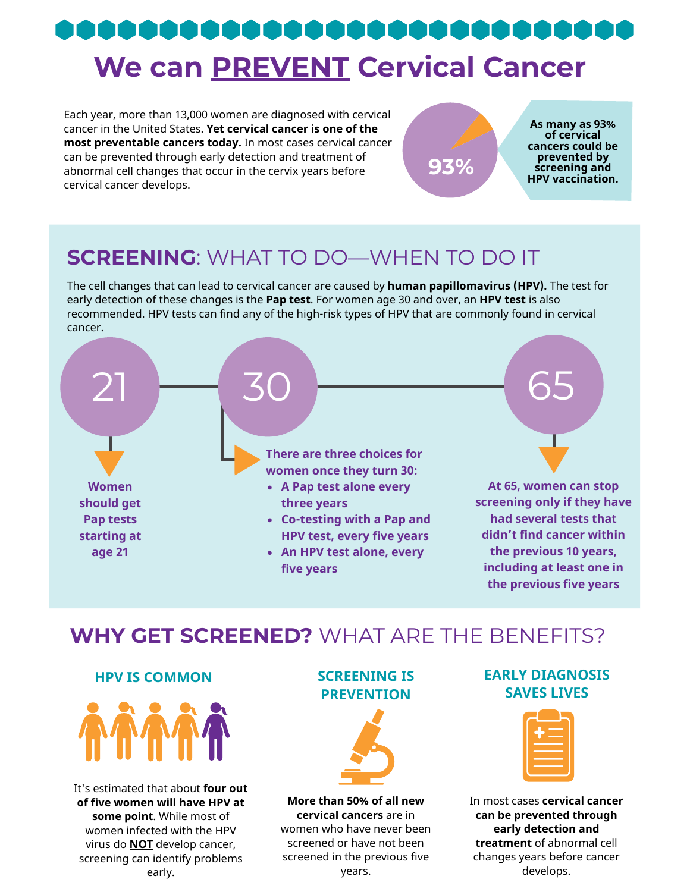# **We can PREVENT Cervical Cancer**

Each year, more than 13,000 women are diagnosed with cervical cancer in the United States. **Yet cervical cancer is one of the most preventable cancers today.** In most cases cervical cancer can be prevented through early detection and treatment of abnormal cell changes that occur in the cervix years before cervical cancer develops.

**As many as 93% of cervical cancers could be prevented by screening and Hevented by**<br>**HPV vaccination.** 

# **SCREENING**: WHAT TO DO—WHEN TO DO IT

The cell changes that can lead to cervical cancer are caused by **human papillomavirus (HPV).** The test for early detection of these changes is the **Pap test**. For women age 30 and over, an **HPV test** is also recommended. HPV tests can find any of the high-risk types of HPV that are commonly found in cervical cancer.



### **WHY GET SCREENED?** WHAT ARE THE BENEFITS?

#### **HPV IS COMMON SCREENING IS**



It's estimated that about **four out of five women will have HPV at some point**. While most of women infected with the HPV virus do **NOT** develop cancer, screening can identify problems early.

# **PREVENTION**



**More than 50% of all new cervical cancers** are in women who have never been screened or have not been screened in the previous five years.

#### **EARLY DIAGNOSIS SAVES LIVES**

| --                                           | --                       |
|----------------------------------------------|--------------------------|
|                                              | <b>STATISTICS</b><br>___ |
| the control of the control of the control of |                          |
| the contract of the contract of the          |                          |
|                                              |                          |

In most cases **cervical cancer can be prevented through early detection and treatment** of abnormal cell changes years before cancer develops.